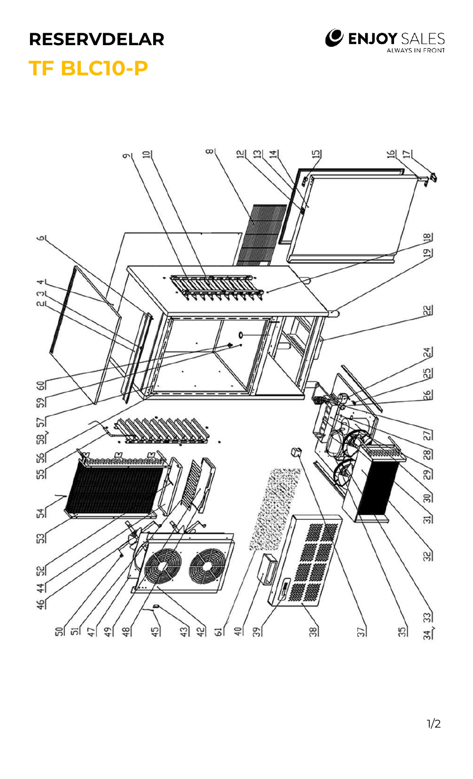## **RESERVDELAR TF BLC10-P**



## $\infty$ 의 의 보 믜 비디  $\equiv$  $\sigma$  $\mathbf{g}$  $\omega($ 의  $\rightarrow$ ml ωl **Sold** 엔 3 <u>ଟା</u> 89 59  $\frac{2}{5}$  $\overline{\Xi}$ man  $\overline{8}$ မျှ **Commandamentale SS**  $\mathfrak{D}$  $\frac{1}{20}$ এ″  $\vec{m}$ **SSI** 33) ၛၟ Ø  $\frac{44}{1}$  $\frac{6}{4}$  $\mathbb{E}$ ଞ୍ଜା ଆ  $\frac{1}{2}$  $45$  $43$ 42)  $\frac{34}{3}$  $\frac{48}{2}$ 의 ၛၟ  $\frac{2}{3}$ 35 ञ 38